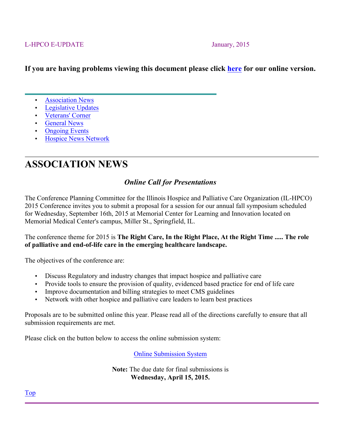#### L-HPCO E-UPDATE January, 2015

### **If you are having problems viewing this document please click here for our online version.**

- **Association News**
- Legislative Updates
- Veterans' Corner
- General News
- **Ongoing Events**
- Hospice News Network

# **ASSOCIATION NEWS**

### *Online Call for Presentations*

The Conference Planning Committee for the Illinois Hospice and Palliative Care Organization (IL-HPCO) 2015 Conference invites you to submit a proposal for a session for our annual fall symposium scheduled for Wednesday, September 16th, 2015 at Memorial Center for Learning and Innovation located on Memorial Medical Center's campus, Miller St., Springfield, IL.

#### The conference theme for 2015 is **The Right Care, In the Right Place, At the Right Time ..... The role of palliative and end-of-life care in the emerging healthcare landscape.**

The objectives of the conference are:

- Discuss Regulatory and industry changes that impact hospice and palliative care
- Provide tools to ensure the provision of quality, evidenced based practice for end of life care
- Improve documentation and billing strategies to meet CMS guidelines
- Network with other hospice and palliative care leaders to learn best practices

Proposals are to be submitted online this year. Please read all of the directions carefully to ensure that all submission requirements are met.

Please click on the button below to access the online submission system:

Online Submission System

**Note:** The due date for final submissions is **Wednesday, April 15, 2015.**

Top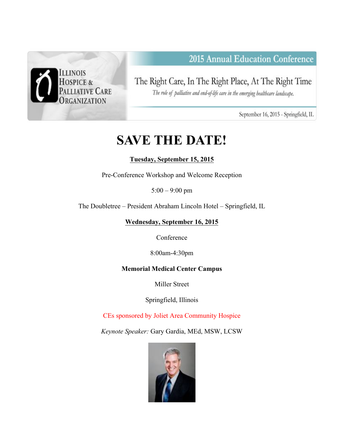

# 2015 Annual Education Conference

The Right Care, In The Right Place, At The Right Time

The role of palliative and end-of-life care in the emerging healthcare landscape.

September 16, 2015 - Springfield, IL

# **SAVE THE DATE!**

### **Tuesday, September 15, 2015**

Pre-Conference Workshop and Welcome Reception

5:00 – 9:00 pm

The Doubletree – President Abraham Lincoln Hotel – Springfield, IL

**Wednesday, September 16, 2015**

Conference

8:00am-4:30pm

### **Memorial Medical Center Campus**

Miller Street

Springfield, Illinois

CEs sponsored by Joliet Area Community Hospice

*Keynote Speaker:* Gary Gardia, MEd, MSW, LCSW

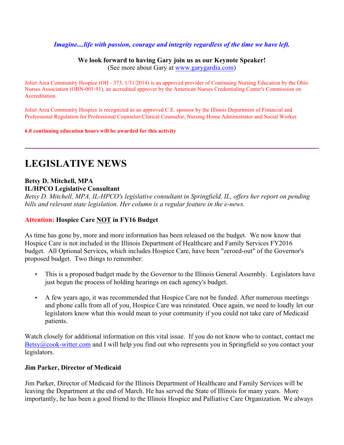#### *Imagine....life with passion, courage and integrity regardless of the time we have left.*

#### **We look forward to having Gary join us as our Keynote Speaker!** (See more about Gary at www.garygardia.com)

Joliet Area Community Hospice (OH - 373, 1/31/2014) is an approved provider of Continuing Nursing Education by the Ohio Nurses Association (OBN-001-91), an accredited approver by the American Nurses Credentialing Center's Commission on Accreditation.

Joliet Area Community Hospice is recognized as an approved C.E. sponsor by the Illinois Department of Financial and Professional Regulation for Professional Counselor/Clinical Counselor, Nursing Home Administrator and Social Worker.

**6.0 continuing education hours will be awarded for this activity**

### **LEGISLATIVE NEWS**

#### **Betsy D. Mitchell, MPA IL/HPCO Legislative Consultant**

*Betsy D. Mitchell, MPA, IL-HPCO's legislative consultant in Springfield, IL, offers her report on pending bills and relevant state legislation. Her column is a regular feature in the e-news.*

#### **Attention: Hospice Care NOT in FY16 Budget**

As time has gone by, more and more information has been released on the budget. We now know that Hospice Care is not included in the Illinois Department of Healthcare and Family Services FY2016 budget. All Optional Services, which includes Hospice Care, have been "zeroed-out" of the Governor's proposed budget. Two things to remember:

- This is a proposed budget made by the Governor to the Illinois General Assembly. Legislators have just begun the process of holding hearings on each agency's budget.
- A few years ago, it was recommended that Hospice Care not be funded. After numerous meetings and phone calls from all of you, Hospice Care was reinstated. Once again, we need to loudly let our legislators know what this would mean to your community if you could not take care of Medicaid patients.

Watch closely for additional information on this vital issue. If you do not know who to contact, contact me Betsy@cook-witter.com and I will help you find out who represents you in Springfield so you contact your legislators.

#### **Jim Parker, Director of Medicaid**

Jim Parker, Director of Medicaid for the Illinois Department of Healthcare and Family Services will be leaving the Department at the end of March. He has served the State of Illinois for many years. More importantly, he has been a good friend to the Illinois Hospice and Palliative Care Organization. We always